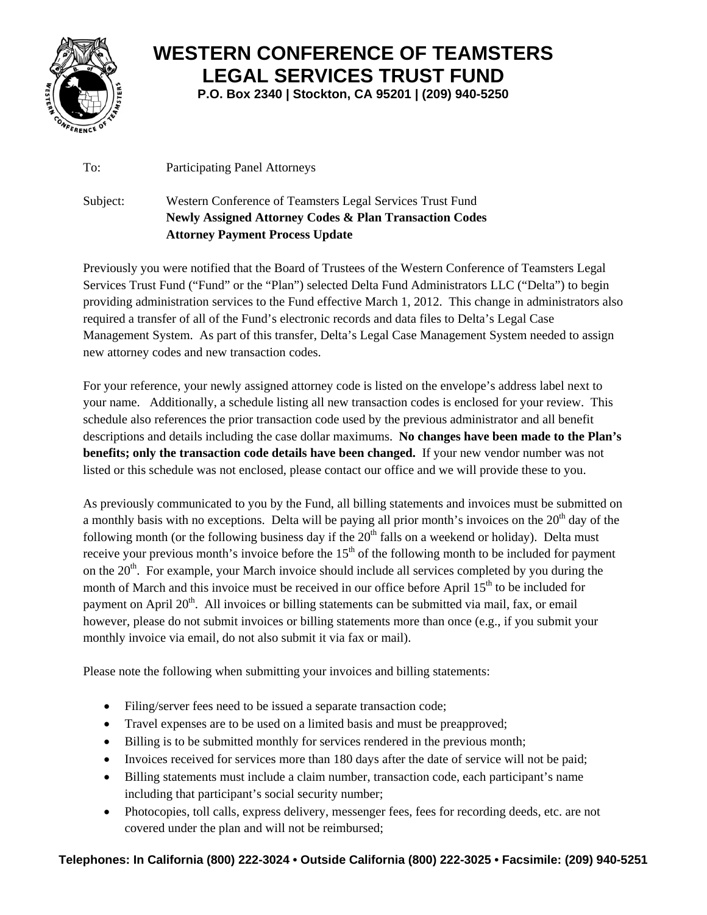

## **WESTERN CONFERENCE OF TEAMSTERS LEGAL SERVICES TRUST FUND**

**P.O. Box 2340 | Stockton, CA 95201 | (209) 940-5250**

To: Participating Panel Attorneys

Subject: Western Conference of Teamsters Legal Services Trust Fund **Newly Assigned Attorney Codes & Plan Transaction Codes Attorney Payment Process Update** 

Previously you were notified that the Board of Trustees of the Western Conference of Teamsters Legal Services Trust Fund ("Fund" or the "Plan") selected Delta Fund Administrators LLC ("Delta") to begin providing administration services to the Fund effective March 1, 2012. This change in administrators also required a transfer of all of the Fund's electronic records and data files to Delta's Legal Case Management System. As part of this transfer, Delta's Legal Case Management System needed to assign new attorney codes and new transaction codes.

For your reference, your newly assigned attorney code is listed on the envelope's address label next to your name. Additionally, a schedule listing all new transaction codes is enclosed for your review. This schedule also references the prior transaction code used by the previous administrator and all benefit descriptions and details including the case dollar maximums. **No changes have been made to the Plan's benefits; only the transaction code details have been changed.** If your new vendor number was not listed or this schedule was not enclosed, please contact our office and we will provide these to you.

As previously communicated to you by the Fund, all billing statements and invoices must be submitted on a monthly basis with no exceptions. Delta will be paying all prior month's invoices on the  $20<sup>th</sup>$  day of the following month (or the following business day if the  $20<sup>th</sup>$  falls on a weekend or holiday). Delta must receive your previous month's invoice before the  $15<sup>th</sup>$  of the following month to be included for payment on the  $20<sup>th</sup>$ . For example, your March invoice should include all services completed by you during the month of March and this invoice must be received in our office before April  $15<sup>th</sup>$  to be included for payment on April 20<sup>th</sup>. All invoices or billing statements can be submitted via mail, fax, or email however, please do not submit invoices or billing statements more than once (e.g., if you submit your monthly invoice via email, do not also submit it via fax or mail).

Please note the following when submitting your invoices and billing statements:

- Filing/server fees need to be issued a separate transaction code;
- Travel expenses are to be used on a limited basis and must be preapproved;
- Billing is to be submitted monthly for services rendered in the previous month;
- Invoices received for services more than 180 days after the date of service will not be paid;
- Billing statements must include a claim number, transaction code, each participant's name including that participant's social security number;
- Photocopies, toll calls, express delivery, messenger fees, fees for recording deeds, etc. are not covered under the plan and will not be reimbursed;